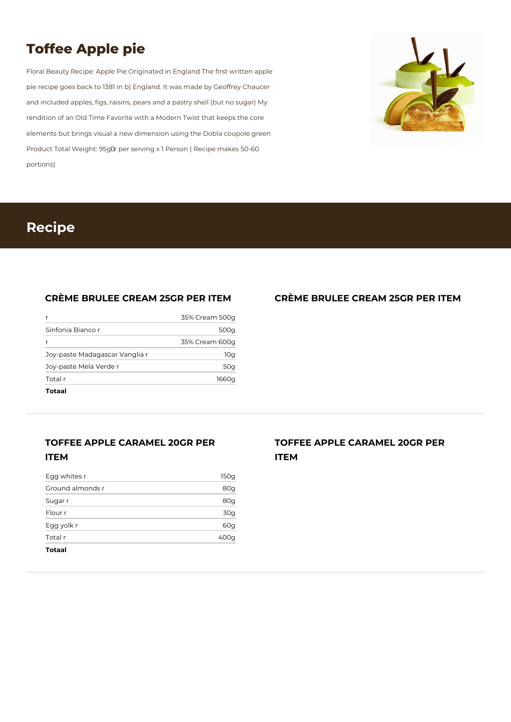# **Toffee Apple pie**

Floral Beauty Recipe: Apple Pie Originated in England The first written apple pie recipe goes back to 1381 in b) England. It was made by Geoffrey Chaucer and included apples, figs, raisins, pears and a pastry shell (but no sugar) My rendition of an Old Time Favorite with a Modern Twist that keeps the core elements but brings visual a new dimension using the Dobla coupole green Product Total Weight: 95gLr per serving x 1 Person (Recipe makes 50-60) portions)



### **Recipe**

#### **CRÈME BRULEE CREAM 25GR PER ITEM**

| 1660q          |
|----------------|
| 50g            |
| 10q            |
| 35% Cream 600g |
| 500g           |
| 35% Cream 500g |
|                |

### **TOFFEE APPLE CARAMEL 20GR PER ITEM**

| 400g |
|------|
| 60g  |
| 30g  |
| 80g  |
| 80g  |
| 150g |
|      |

#### **CRÈME BRULEE CREAM 25GR PER ITEM**

**TOFFEE APPLE CARAMEL 20GR PER ITEM**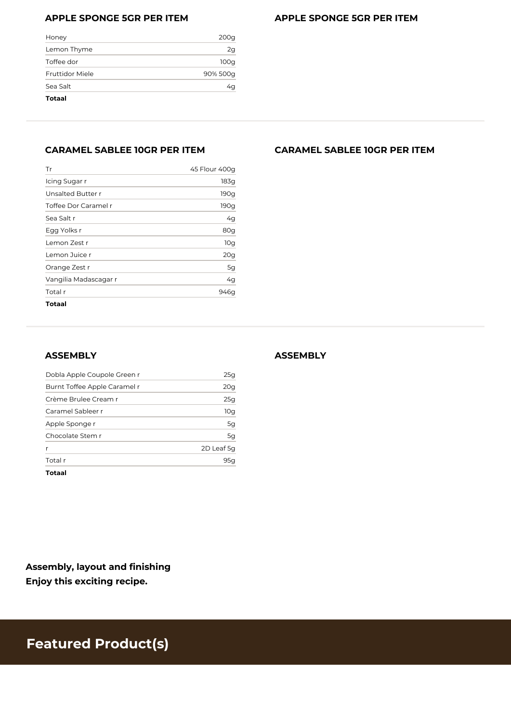#### **APPLE SPONGE 5GR PER ITEM**

| <b>APPLE SPONGE 5GR PER ITEM</b> |  |  |  |  |  |  |
|----------------------------------|--|--|--|--|--|--|
|----------------------------------|--|--|--|--|--|--|

| Totaal          |          |
|-----------------|----------|
| Sea Salt        | 4q       |
| Fruttidor Miele | 90% 500g |
| Toffee dor      | 100q     |
| Lemon Thyme     | 2g       |
| Honey           | 200g     |

#### **CARAMEL SABLEE 10GR PER ITEM**

| Tr                    | 45 Flour 400g |
|-----------------------|---------------|
| Icing Sugar r         | 183g          |
| Unsalted Butter r     | 190g          |
| Toffee Dor Caramel r  | 190g          |
| Sea Salt r            | 4g            |
| Egg Yolks r           | 80g           |
| Lemon Zest r          | 10g           |
| Lemon Juice r         | 20g           |
| Orange Zest r         | 5g            |
| Vangilia Madascagar r | 4g            |
| Total r               | 946q          |
| <b>Totaal</b>         |               |

#### **ASSEMBLY**

| Totaal                       |            |
|------------------------------|------------|
| Total r                      | 95c        |
|                              | 2D Leaf 5q |
| Chocolate Stem r             | 5g         |
| Apple Sponge r               | 5g         |
| Caramel Sableer r            | 10g        |
| Crème Brulee Cream r         | 25g        |
| Burnt Toffee Apple Caramel r | 20g        |
| Dobla Apple Coupole Green r  | 25q        |

**Assembly, layout and finishing Enjoy this exciting recipe.**

#### **CARAMEL SABLEE 10GR PER ITEM**

#### **ASSEMBLY**

# **Featured Product(s)**